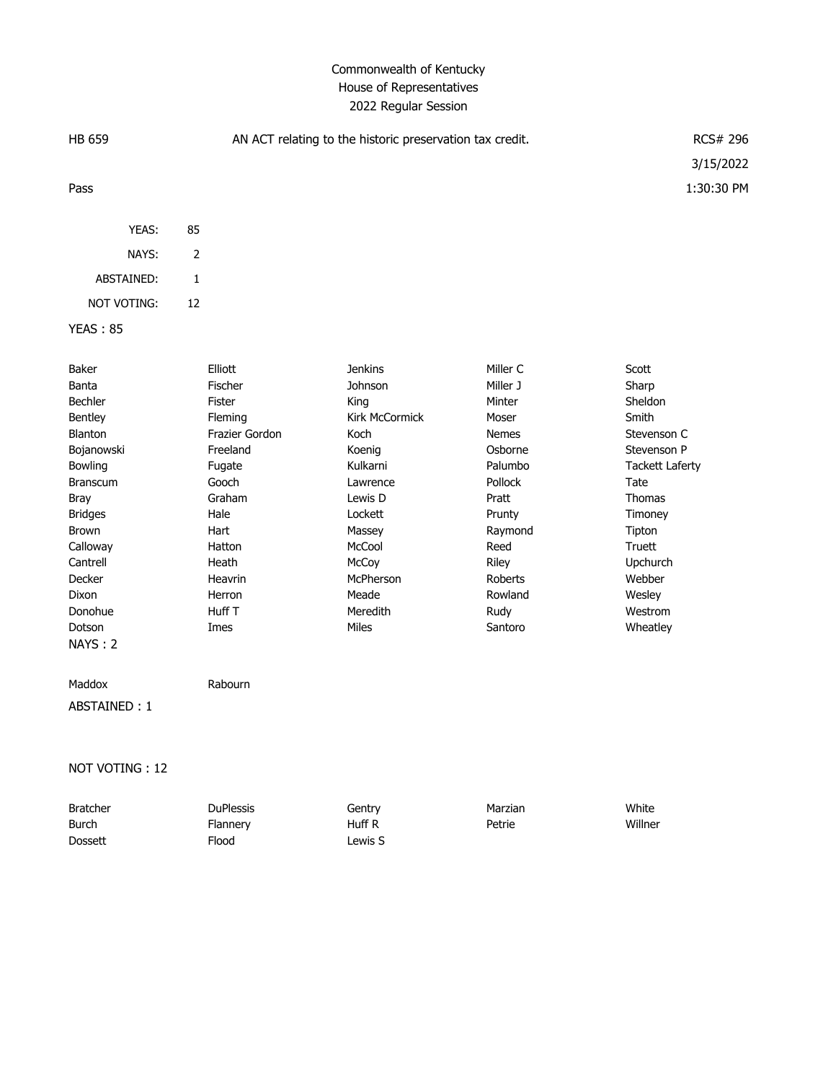# Commonwealth of Kentucky House of Representatives 2022 Regular Session

| HB 659                                                                                                                                                                                                                  |                                                                                                                                                                              | AN ACT relating to the historic preservation tax credit.                                                                                                                                    |                                                                                                                                                                                         | <b>RCS# 296</b>                                                                                                                                                                                           |
|-------------------------------------------------------------------------------------------------------------------------------------------------------------------------------------------------------------------------|------------------------------------------------------------------------------------------------------------------------------------------------------------------------------|---------------------------------------------------------------------------------------------------------------------------------------------------------------------------------------------|-----------------------------------------------------------------------------------------------------------------------------------------------------------------------------------------|-----------------------------------------------------------------------------------------------------------------------------------------------------------------------------------------------------------|
| Pass                                                                                                                                                                                                                    |                                                                                                                                                                              |                                                                                                                                                                                             |                                                                                                                                                                                         | 3/15/2022<br>1:30:30 PM                                                                                                                                                                                   |
| YEAS:                                                                                                                                                                                                                   | 85                                                                                                                                                                           |                                                                                                                                                                                             |                                                                                                                                                                                         |                                                                                                                                                                                                           |
| NAYS:                                                                                                                                                                                                                   | $\overline{2}$                                                                                                                                                               |                                                                                                                                                                                             |                                                                                                                                                                                         |                                                                                                                                                                                                           |
| ABSTAINED:                                                                                                                                                                                                              | $\mathbf{1}$                                                                                                                                                                 |                                                                                                                                                                                             |                                                                                                                                                                                         |                                                                                                                                                                                                           |
| NOT VOTING:                                                                                                                                                                                                             | 12                                                                                                                                                                           |                                                                                                                                                                                             |                                                                                                                                                                                         |                                                                                                                                                                                                           |
| <b>YEAS: 85</b>                                                                                                                                                                                                         |                                                                                                                                                                              |                                                                                                                                                                                             |                                                                                                                                                                                         |                                                                                                                                                                                                           |
| Baker<br>Banta<br>Bechler<br>Bentley<br>Blanton<br>Bojanowski<br>Bowling<br><b>Branscum</b><br><b>Bray</b><br><b>Bridges</b><br><b>Brown</b><br>Calloway<br>Cantrell<br>Decker<br>Dixon<br>Donohue<br>Dotson<br>NAYS: 2 | Elliott<br>Fischer<br>Fister<br>Fleming<br>Frazier Gordon<br>Freeland<br>Fugate<br>Gooch<br>Graham<br>Hale<br>Hart<br>Hatton<br>Heath<br>Heavrin<br>Herron<br>Huff T<br>Imes | <b>Jenkins</b><br>Johnson<br>King<br>Kirk McCormick<br>Koch<br>Koenig<br>Kulkarni<br>Lawrence<br>Lewis D<br>Lockett<br>Massey<br>McCool<br>McCoy<br>McPherson<br>Meade<br>Meredith<br>Miles | Miller C<br>Miller J<br>Minter<br>Moser<br><b>Nemes</b><br>Osborne<br>Palumbo<br>Pollock<br>Pratt<br>Prunty<br>Raymond<br>Reed<br>Riley<br><b>Roberts</b><br>Rowland<br>Rudy<br>Santoro | Scott<br>Sharp<br>Sheldon<br>Smith<br>Stevenson C<br>Stevenson P<br><b>Tackett Laferty</b><br>Tate<br><b>Thomas</b><br>Timoney<br>Tipton<br>Truett<br>Upchurch<br>Webber<br>Wesley<br>Westrom<br>Wheatley |
| Maddox<br>ABSTAINED: 1                                                                                                                                                                                                  | Rabourn                                                                                                                                                                      |                                                                                                                                                                                             |                                                                                                                                                                                         |                                                                                                                                                                                                           |
|                                                                                                                                                                                                                         |                                                                                                                                                                              |                                                                                                                                                                                             |                                                                                                                                                                                         |                                                                                                                                                                                                           |

# NOT VOTING : 12

| <b>Bratcher</b> | <b>DuPlessis</b> | Gentry  | Marzian | White   |
|-----------------|------------------|---------|---------|---------|
| Burch           | Flannery         | Huff R  | Petrie  | Willner |
| <b>Dossett</b>  | Flood            | ∟ewis S |         |         |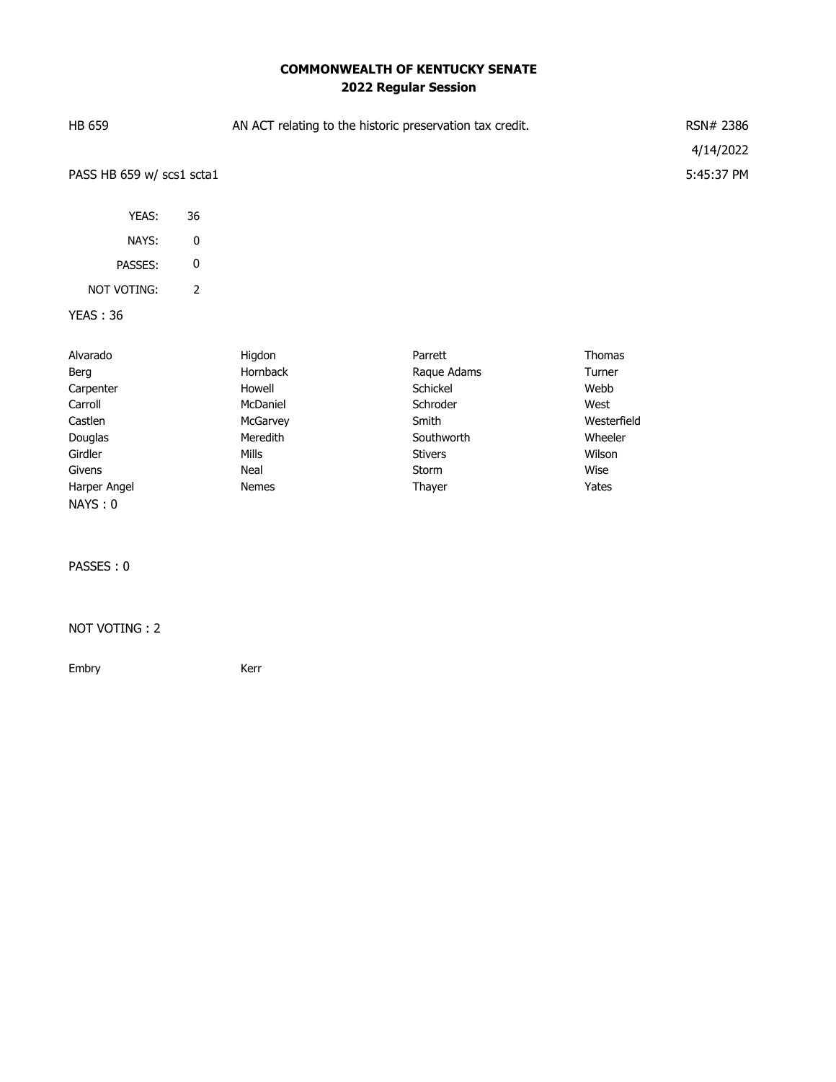# **COMMONWEALTH OF KENTUCKY SENATE 2022 Regular Session**

| HB 659                    | AN ACT relating to the historic preservation tax credit. | RSN# 2386  |
|---------------------------|----------------------------------------------------------|------------|
|                           |                                                          | 4/14/2022  |
| PASS HB 659 w/ scs1 scta1 |                                                          | 5:45:37 PM |
| YEAS:                     | 36                                                       |            |
| NAYS:                     | 0                                                        |            |

PASSES: 0

## NOT VOTING: 2

### YEAS : 36

| Alvarado     | Higdon          | Parrett     | Thomas      |
|--------------|-----------------|-------------|-------------|
| Berg         | <b>Hornback</b> | Raque Adams | Turner      |
| Carpenter    | Howell          | Schickel    | Webb        |
| Carroll      | McDaniel        | Schroder    | West        |
| Castlen      | McGarvey        | Smith       | Westerfield |
| Douglas      | Meredith        | Southworth  | Wheeler     |
| Girdler      | <b>Mills</b>    | Stivers     | Wilson      |
| Givens       | Neal            | Storm       | Wise        |
| Harper Angel | <b>Nemes</b>    | Thayer      | Yates       |
| NAYS: 0      |                 |             |             |

PASSES : 0

#### NOT VOTING : 2

Embry **Kerr**